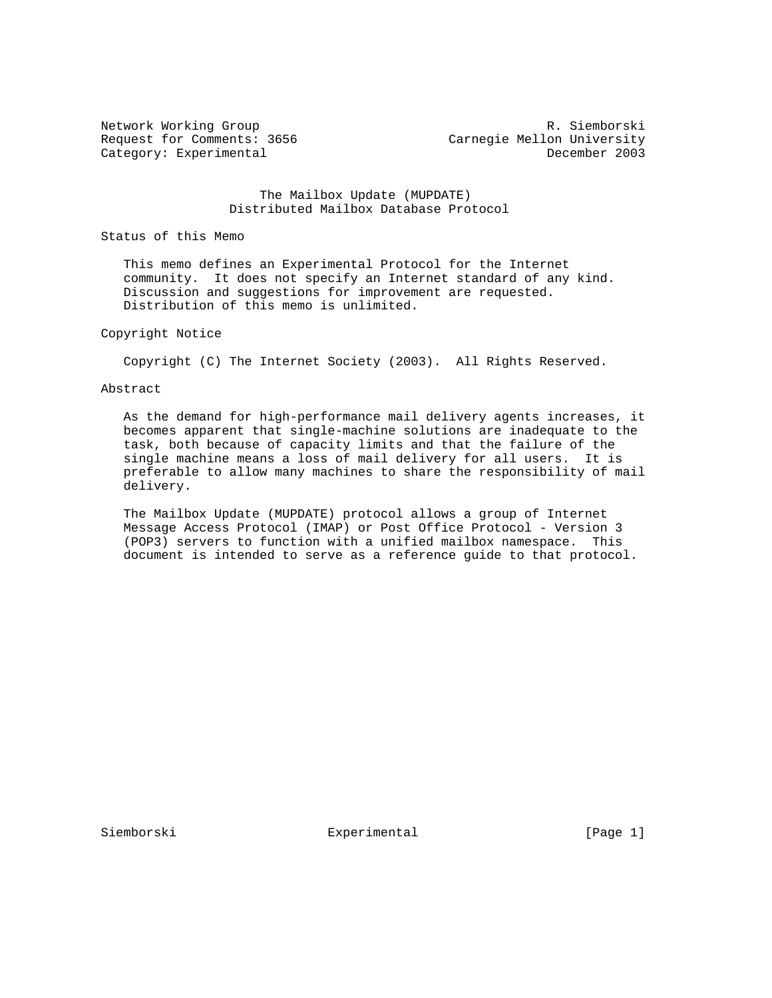Network Working Group **R. Siemborski** Request for Comments: 3656 Carnegie Mellon University Category: Experimental December 2003

> The Mailbox Update (MUPDATE) Distributed Mailbox Database Protocol

Status of this Memo

 This memo defines an Experimental Protocol for the Internet community. It does not specify an Internet standard of any kind. Discussion and suggestions for improvement are requested. Distribution of this memo is unlimited.

### Copyright Notice

Copyright (C) The Internet Society (2003). All Rights Reserved.

# Abstract

 As the demand for high-performance mail delivery agents increases, it becomes apparent that single-machine solutions are inadequate to the task, both because of capacity limits and that the failure of the single machine means a loss of mail delivery for all users. It is preferable to allow many machines to share the responsibility of mail delivery.

 The Mailbox Update (MUPDATE) protocol allows a group of Internet Message Access Protocol (IMAP) or Post Office Protocol - Version 3 (POP3) servers to function with a unified mailbox namespace. This document is intended to serve as a reference guide to that protocol.

Siemborski **Experimental** [Page 1]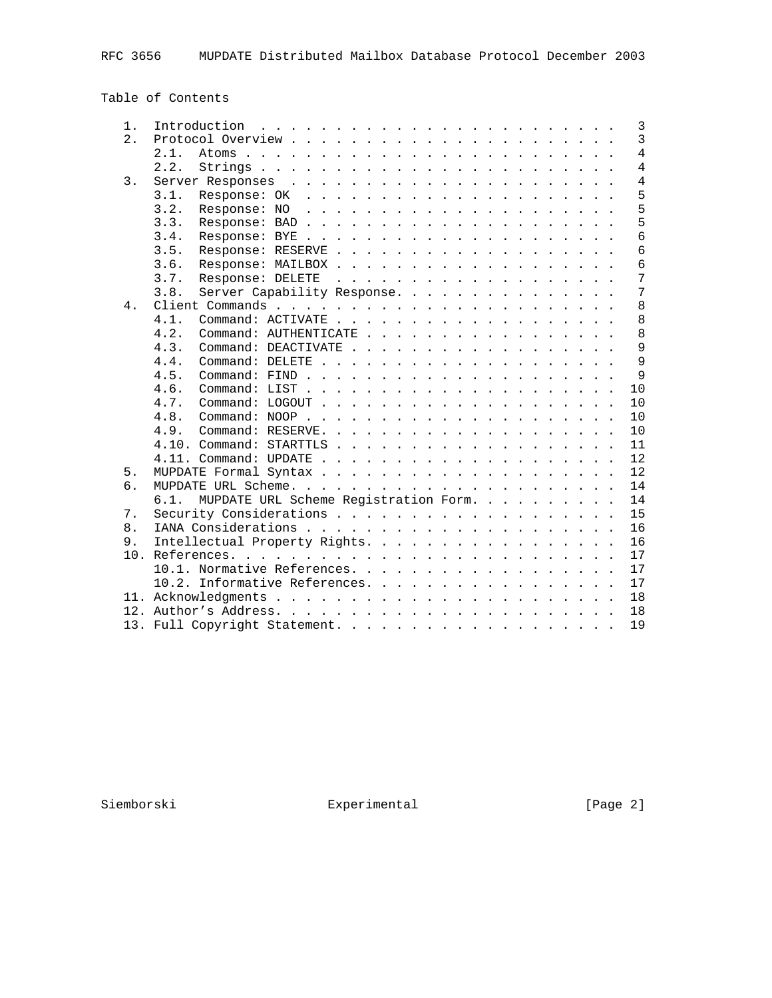Table of Contents

| $1$ .            |                                                       |  |  |
|------------------|-------------------------------------------------------|--|--|
| $\overline{2}$ . | $\overline{3}$                                        |  |  |
|                  | $\overline{4}$<br>2.1.                                |  |  |
|                  | $\overline{4}$<br>2.2.                                |  |  |
| 3.               | $\overline{4}$                                        |  |  |
|                  | 5<br>3.1.                                             |  |  |
|                  | 5<br>3.2.                                             |  |  |
|                  | 5<br>3.3.                                             |  |  |
|                  | 6<br>3.4.                                             |  |  |
|                  | $\overline{6}$<br>3.5.                                |  |  |
|                  | $\overline{6}$<br>3.6.                                |  |  |
|                  | 7<br>3.7.<br>Response: DELETE                         |  |  |
|                  | $\overline{7}$<br>Server Capability Response.<br>3.8. |  |  |
| 4.               | 8                                                     |  |  |
|                  | 8<br>4.1.                                             |  |  |
|                  | 8<br>4.2.<br>Command: AUTHENTICATE                    |  |  |
|                  | 9<br>4.3.<br>Command: DEACTIVATE                      |  |  |
|                  | $\overline{9}$<br>4.4.                                |  |  |
|                  | $\mathsf{Q}$<br>4.5.                                  |  |  |
|                  | 10<br>4.6.                                            |  |  |
|                  | 10<br>4.7.                                            |  |  |
|                  | 10<br>4.8.                                            |  |  |
|                  | 10<br>4.9.                                            |  |  |
|                  | 11                                                    |  |  |
|                  | 12                                                    |  |  |
| 5.               | 12                                                    |  |  |
| б.               | 14                                                    |  |  |
|                  | MUPDATE URL Scheme Registration Form.<br>14<br>6.1.   |  |  |
| 7.               | 15                                                    |  |  |
| 8.               | 16                                                    |  |  |
| 9.               | Intellectual Property Rights.<br>16                   |  |  |
| 10.              | 17                                                    |  |  |
|                  | 10.1. Normative References.<br>17                     |  |  |
|                  | 10.2. Informative References.<br>17                   |  |  |
|                  | 18                                                    |  |  |
|                  | 18                                                    |  |  |
|                  | 19                                                    |  |  |
|                  |                                                       |  |  |

Siemborski Experimental [Page 2]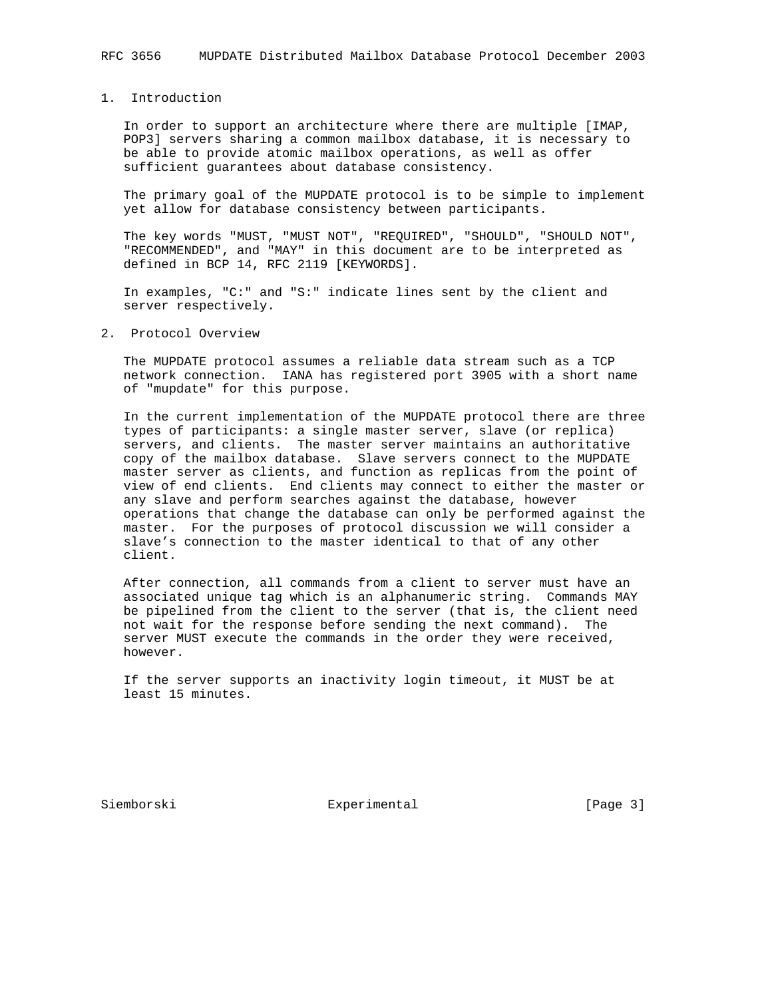# 1. Introduction

 In order to support an architecture where there are multiple [IMAP, POP3] servers sharing a common mailbox database, it is necessary to be able to provide atomic mailbox operations, as well as offer sufficient guarantees about database consistency.

 The primary goal of the MUPDATE protocol is to be simple to implement yet allow for database consistency between participants.

 The key words "MUST, "MUST NOT", "REQUIRED", "SHOULD", "SHOULD NOT", "RECOMMENDED", and "MAY" in this document are to be interpreted as defined in BCP 14, RFC 2119 [KEYWORDS].

 In examples, "C:" and "S:" indicate lines sent by the client and server respectively.

### 2. Protocol Overview

 The MUPDATE protocol assumes a reliable data stream such as a TCP network connection. IANA has registered port 3905 with a short name of "mupdate" for this purpose.

 In the current implementation of the MUPDATE protocol there are three types of participants: a single master server, slave (or replica) servers, and clients. The master server maintains an authoritative copy of the mailbox database. Slave servers connect to the MUPDATE master server as clients, and function as replicas from the point of view of end clients. End clients may connect to either the master or any slave and perform searches against the database, however operations that change the database can only be performed against the master. For the purposes of protocol discussion we will consider a slave's connection to the master identical to that of any other client.

 After connection, all commands from a client to server must have an associated unique tag which is an alphanumeric string. Commands MAY be pipelined from the client to the server (that is, the client need not wait for the response before sending the next command). The server MUST execute the commands in the order they were received, however.

 If the server supports an inactivity login timeout, it MUST be at least 15 minutes.

Siemborski **Experimental** [Page 3]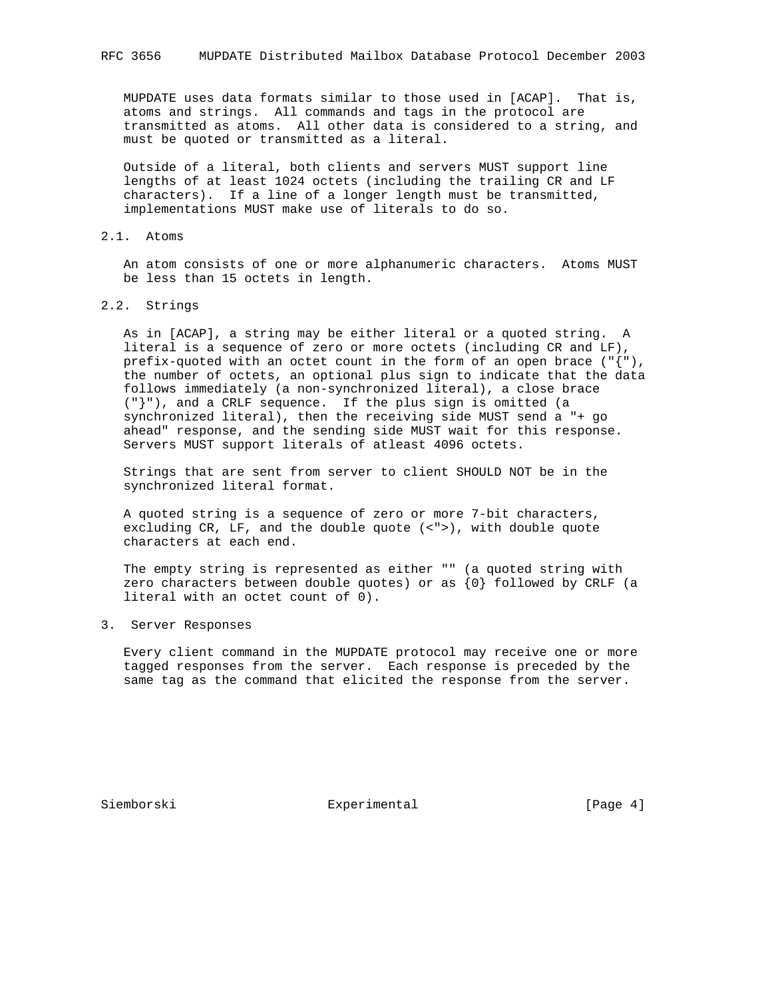MUPDATE uses data formats similar to those used in [ACAP]. That is, atoms and strings. All commands and tags in the protocol are transmitted as atoms. All other data is considered to a string, and must be quoted or transmitted as a literal.

 Outside of a literal, both clients and servers MUST support line lengths of at least 1024 octets (including the trailing CR and LF characters). If a line of a longer length must be transmitted, implementations MUST make use of literals to do so.

### 2.1. Atoms

 An atom consists of one or more alphanumeric characters. Atoms MUST be less than 15 octets in length.

# 2.2. Strings

 As in [ACAP], a string may be either literal or a quoted string. A literal is a sequence of zero or more octets (including CR and LF), prefix-quoted with an octet count in the form of an open brace  $(\sqrt[q]{\ }$ , the number of octets, an optional plus sign to indicate that the data follows immediately (a non-synchronized literal), a close brace ("}"), and a CRLF sequence. If the plus sign is omitted (a synchronized literal), then the receiving side MUST send a "+ go ahead" response, and the sending side MUST wait for this response. Servers MUST support literals of atleast 4096 octets.

 Strings that are sent from server to client SHOULD NOT be in the synchronized literal format.

 A quoted string is a sequence of zero or more 7-bit characters, excluding CR, LF, and the double quote (<">), with double quote characters at each end.

 The empty string is represented as either "" (a quoted string with zero characters between double quotes) or as {0} followed by CRLF (a literal with an octet count of 0).

# 3. Server Responses

 Every client command in the MUPDATE protocol may receive one or more tagged responses from the server. Each response is preceded by the same tag as the command that elicited the response from the server.

Siemborski **Experimental** [Page 4]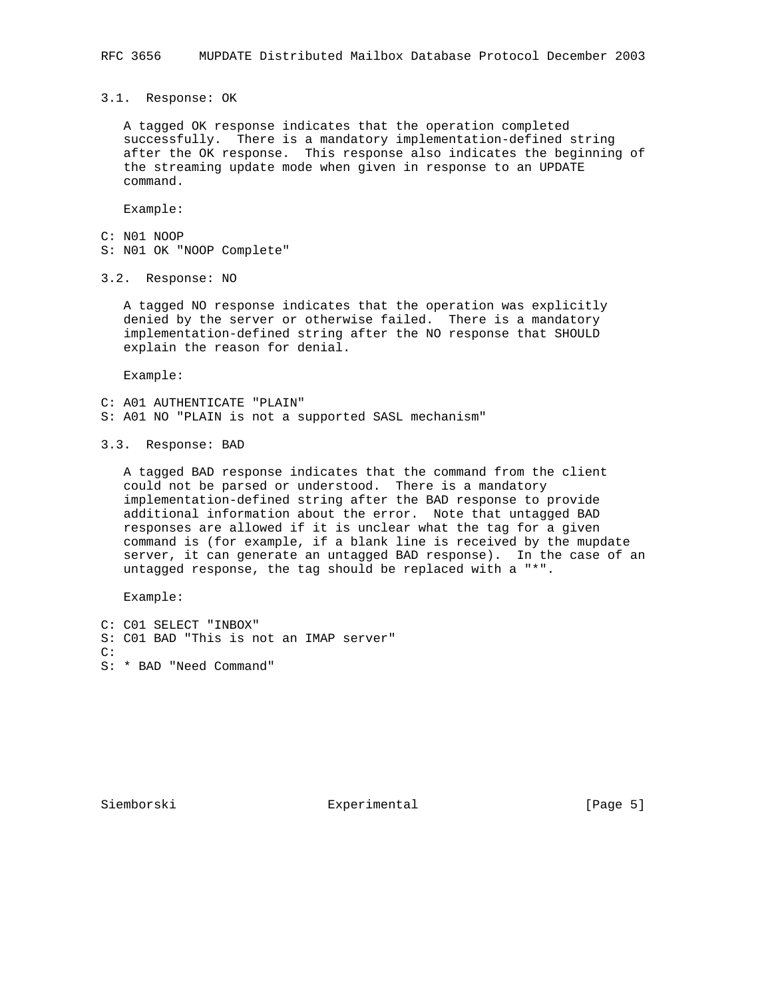3.1. Response: OK

 A tagged OK response indicates that the operation completed successfully. There is a mandatory implementation-defined string after the OK response. This response also indicates the beginning of the streaming update mode when given in response to an UPDATE command.

Example:

- C: N01 NOOP
- S: N01 OK "NOOP Complete"

3.2. Response: NO

 A tagged NO response indicates that the operation was explicitly denied by the server or otherwise failed. There is a mandatory implementation-defined string after the NO response that SHOULD explain the reason for denial.

Example:

C: A01 AUTHENTICATE "PLAIN" S: A01 NO "PLAIN is not a supported SASL mechanism"

3.3. Response: BAD

 A tagged BAD response indicates that the command from the client could not be parsed or understood. There is a mandatory implementation-defined string after the BAD response to provide additional information about the error. Note that untagged BAD responses are allowed if it is unclear what the tag for a given command is (for example, if a blank line is received by the mupdate server, it can generate an untagged BAD response). In the case of an untagged response, the tag should be replaced with a "\*".

Example:

C: C01 SELECT "INBOX" S: C01 BAD "This is not an IMAP server" C: S: \* BAD "Need Command"

Siemborski **Experimental** [Page 5]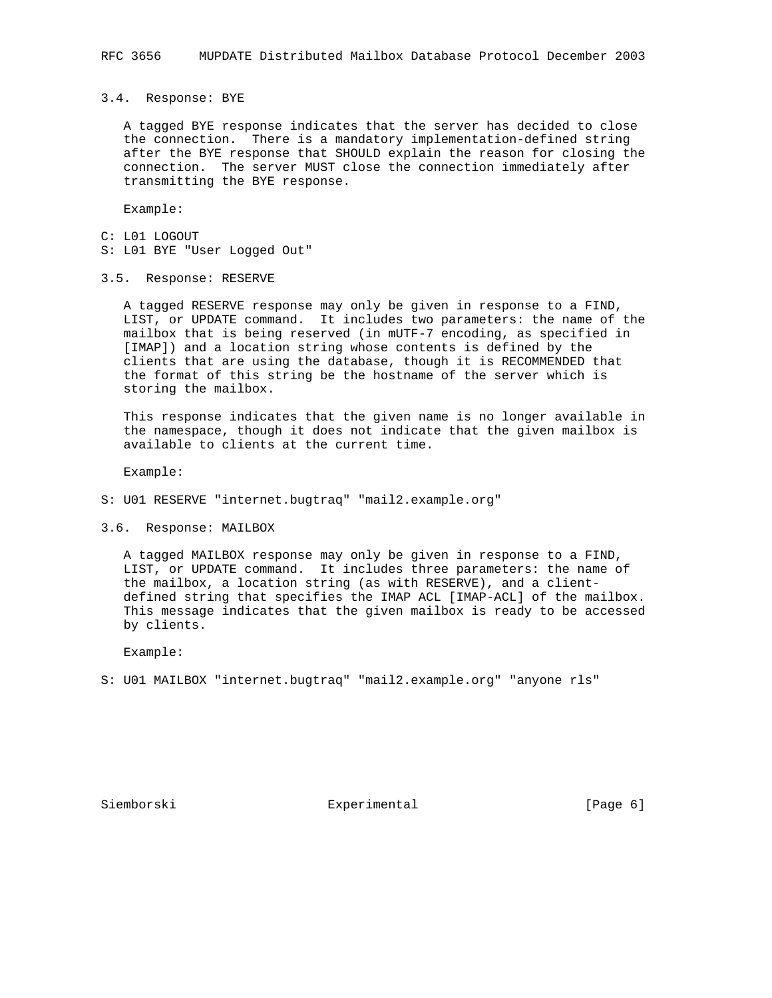#### 3.4. Response: BYE

 A tagged BYE response indicates that the server has decided to close the connection. There is a mandatory implementation-defined string after the BYE response that SHOULD explain the reason for closing the connection. The server MUST close the connection immediately after transmitting the BYE response.

Example:

- C: L01 LOGOUT
- S: L01 BYE "User Logged Out"
- 3.5. Response: RESERVE

 A tagged RESERVE response may only be given in response to a FIND, LIST, or UPDATE command. It includes two parameters: the name of the mailbox that is being reserved (in mUTF-7 encoding, as specified in [IMAP]) and a location string whose contents is defined by the clients that are using the database, though it is RECOMMENDED that the format of this string be the hostname of the server which is storing the mailbox.

 This response indicates that the given name is no longer available in the namespace, though it does not indicate that the given mailbox is available to clients at the current time.

Example:

- S: U01 RESERVE "internet.bugtraq" "mail2.example.org"
- 3.6. Response: MAILBOX

 A tagged MAILBOX response may only be given in response to a FIND, LIST, or UPDATE command. It includes three parameters: the name of the mailbox, a location string (as with RESERVE), and a client defined string that specifies the IMAP ACL [IMAP-ACL] of the mailbox. This message indicates that the given mailbox is ready to be accessed by clients.

Example:

S: U01 MAILBOX "internet.bugtraq" "mail2.example.org" "anyone rls"

Siemborski **Experimental** [Page 6]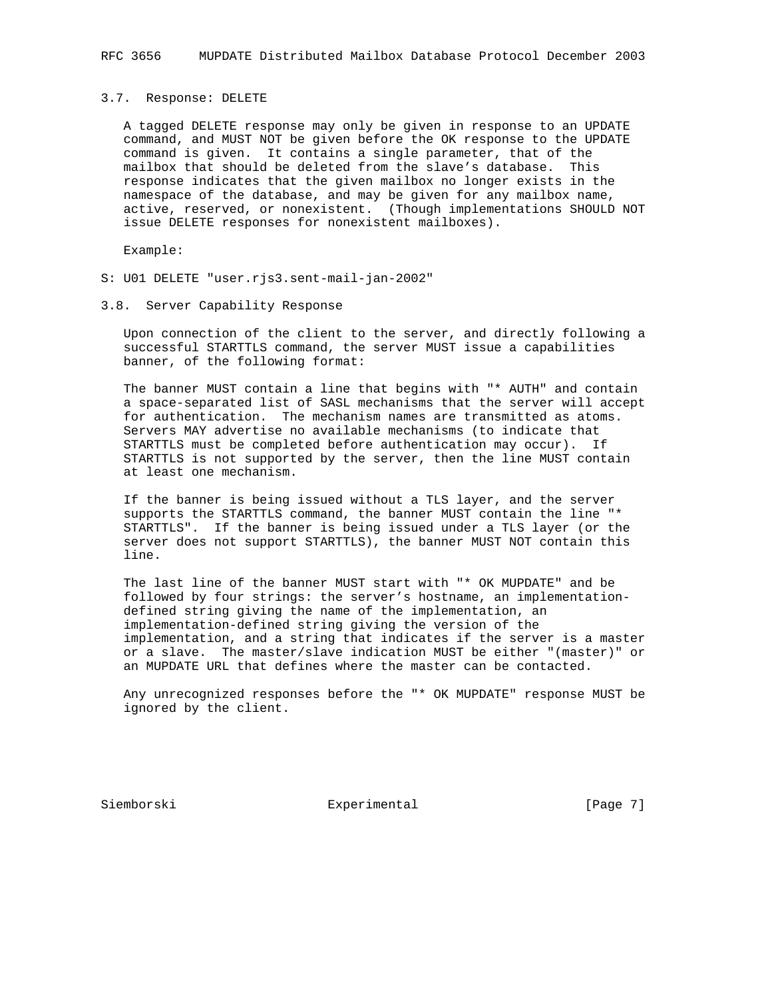#### 3.7. Response: DELETE

 A tagged DELETE response may only be given in response to an UPDATE command, and MUST NOT be given before the OK response to the UPDATE command is given. It contains a single parameter, that of the mailbox that should be deleted from the slave's database. This response indicates that the given mailbox no longer exists in the namespace of the database, and may be given for any mailbox name, active, reserved, or nonexistent. (Though implementations SHOULD NOT issue DELETE responses for nonexistent mailboxes).

Example:

- S: U01 DELETE "user.rjs3.sent-mail-jan-2002"
- 3.8. Server Capability Response

 Upon connection of the client to the server, and directly following a successful STARTTLS command, the server MUST issue a capabilities banner, of the following format:

 The banner MUST contain a line that begins with "\* AUTH" and contain a space-separated list of SASL mechanisms that the server will accept for authentication. The mechanism names are transmitted as atoms. Servers MAY advertise no available mechanisms (to indicate that STARTTLS must be completed before authentication may occur). If STARTTLS is not supported by the server, then the line MUST contain at least one mechanism.

 If the banner is being issued without a TLS layer, and the server supports the STARTTLS command, the banner MUST contain the line "\* STARTTLS". If the banner is being issued under a TLS layer (or the server does not support STARTTLS), the banner MUST NOT contain this line.

 The last line of the banner MUST start with "\* OK MUPDATE" and be followed by four strings: the server's hostname, an implementation defined string giving the name of the implementation, an implementation-defined string giving the version of the implementation, and a string that indicates if the server is a master or a slave. The master/slave indication MUST be either "(master)" or an MUPDATE URL that defines where the master can be contacted.

 Any unrecognized responses before the "\* OK MUPDATE" response MUST be ignored by the client.

Siemborski **Experimental** [Page 7]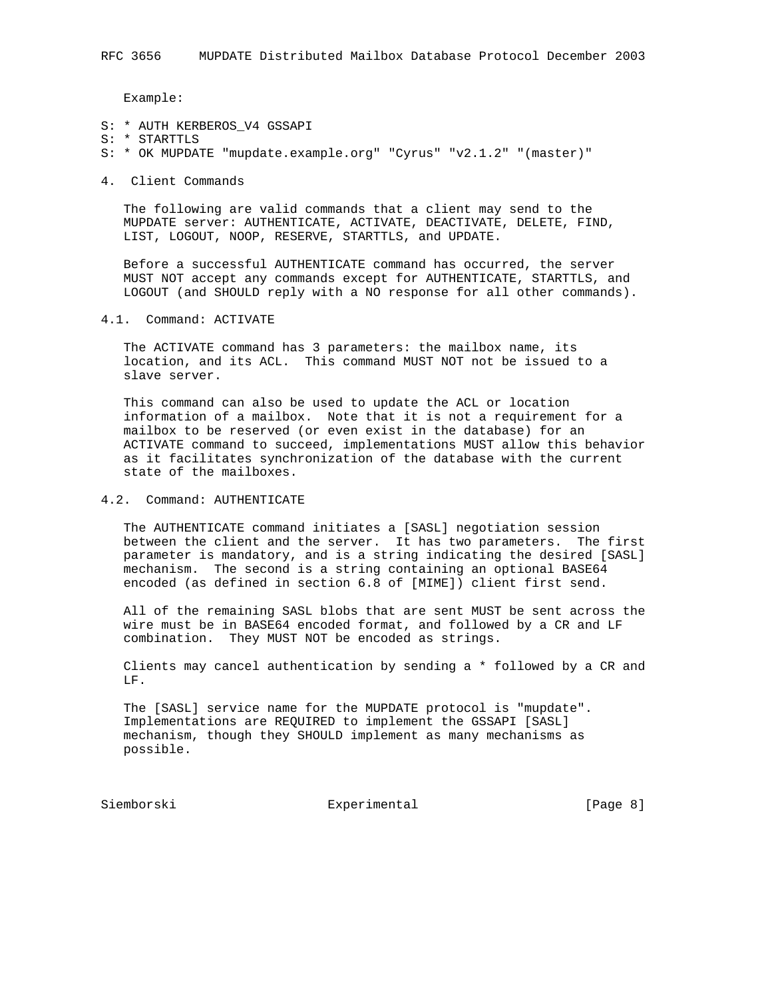Example:

- S: \* AUTH KERBEROS\_V4 GSSAPI
- S: \* STARTTLS
- S: \* OK MUPDATE "mupdate.example.org" "Cyrus" "v2.1.2" "(master)"
- 4. Client Commands

 The following are valid commands that a client may send to the MUPDATE server: AUTHENTICATE, ACTIVATE, DEACTIVATE, DELETE, FIND, LIST, LOGOUT, NOOP, RESERVE, STARTTLS, and UPDATE.

 Before a successful AUTHENTICATE command has occurred, the server MUST NOT accept any commands except for AUTHENTICATE, STARTTLS, and LOGOUT (and SHOULD reply with a NO response for all other commands).

4.1. Command: ACTIVATE

 The ACTIVATE command has 3 parameters: the mailbox name, its location, and its ACL. This command MUST NOT not be issued to a slave server.

 This command can also be used to update the ACL or location information of a mailbox. Note that it is not a requirement for a mailbox to be reserved (or even exist in the database) for an ACTIVATE command to succeed, implementations MUST allow this behavior as it facilitates synchronization of the database with the current state of the mailboxes.

4.2. Command: AUTHENTICATE

 The AUTHENTICATE command initiates a [SASL] negotiation session between the client and the server. It has two parameters. The first parameter is mandatory, and is a string indicating the desired [SASL] mechanism. The second is a string containing an optional BASE64 encoded (as defined in section 6.8 of [MIME]) client first send.

 All of the remaining SASL blobs that are sent MUST be sent across the wire must be in BASE64 encoded format, and followed by a CR and LF combination. They MUST NOT be encoded as strings.

 Clients may cancel authentication by sending a \* followed by a CR and LF.

 The [SASL] service name for the MUPDATE protocol is "mupdate". Implementations are REQUIRED to implement the GSSAPI [SASL] mechanism, though they SHOULD implement as many mechanisms as possible.

Siemborski **Experimental** Experimental [Page 8]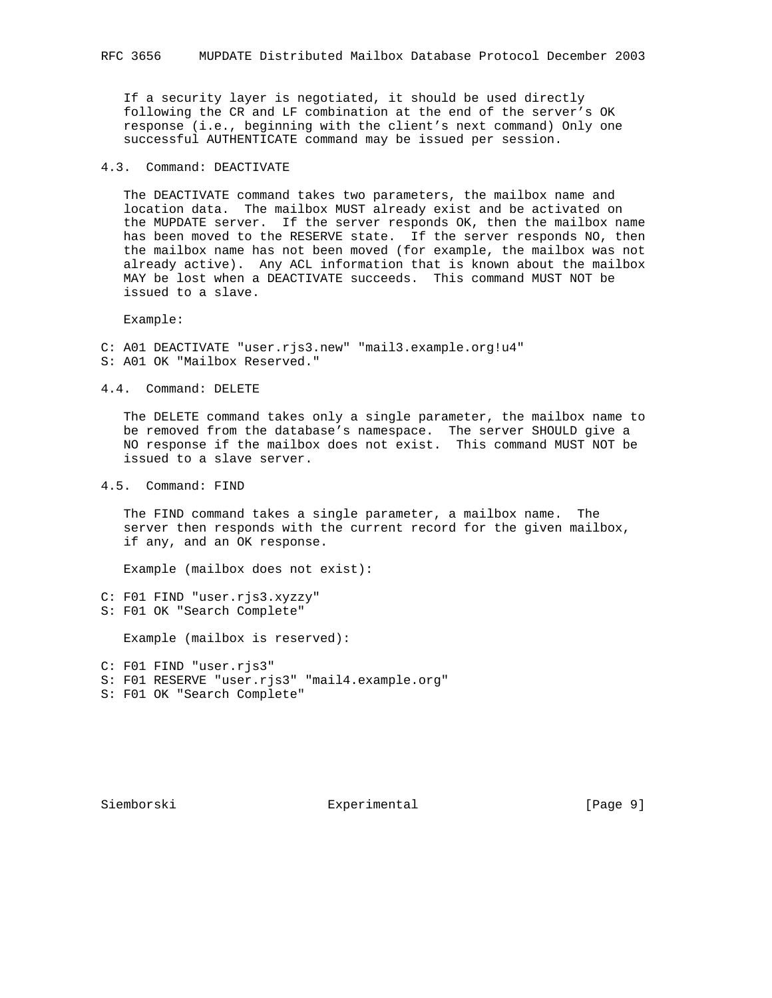If a security layer is negotiated, it should be used directly following the CR and LF combination at the end of the server's OK response (i.e., beginning with the client's next command) Only one successful AUTHENTICATE command may be issued per session.

# 4.3. Command: DEACTIVATE

 The DEACTIVATE command takes two parameters, the mailbox name and location data. The mailbox MUST already exist and be activated on the MUPDATE server. If the server responds OK, then the mailbox name has been moved to the RESERVE state. If the server responds NO, then the mailbox name has not been moved (for example, the mailbox was not already active). Any ACL information that is known about the mailbox MAY be lost when a DEACTIVATE succeeds. This command MUST NOT be issued to a slave.

Example:

C: A01 DEACTIVATE "user.rjs3.new" "mail3.example.org!u4" S: A01 OK "Mailbox Reserved."

4.4. Command: DELETE

 The DELETE command takes only a single parameter, the mailbox name to be removed from the database's namespace. The server SHOULD give a NO response if the mailbox does not exist. This command MUST NOT be issued to a slave server.

4.5. Command: FIND

 The FIND command takes a single parameter, a mailbox name. The server then responds with the current record for the given mailbox, if any, and an OK response.

Example (mailbox does not exist):

C: F01 FIND "user.rjs3.xyzzy" S: F01 OK "Search Complete"

Example (mailbox is reserved):

|  | $C: F01$ FIND "user.ris3"                      |
|--|------------------------------------------------|
|  | S: F01 RESERVE "user.ris3" "mail4.example.org" |
|  | S: F01 OK "Search Complete"                    |

Siemborski **Experimental** [Page 9]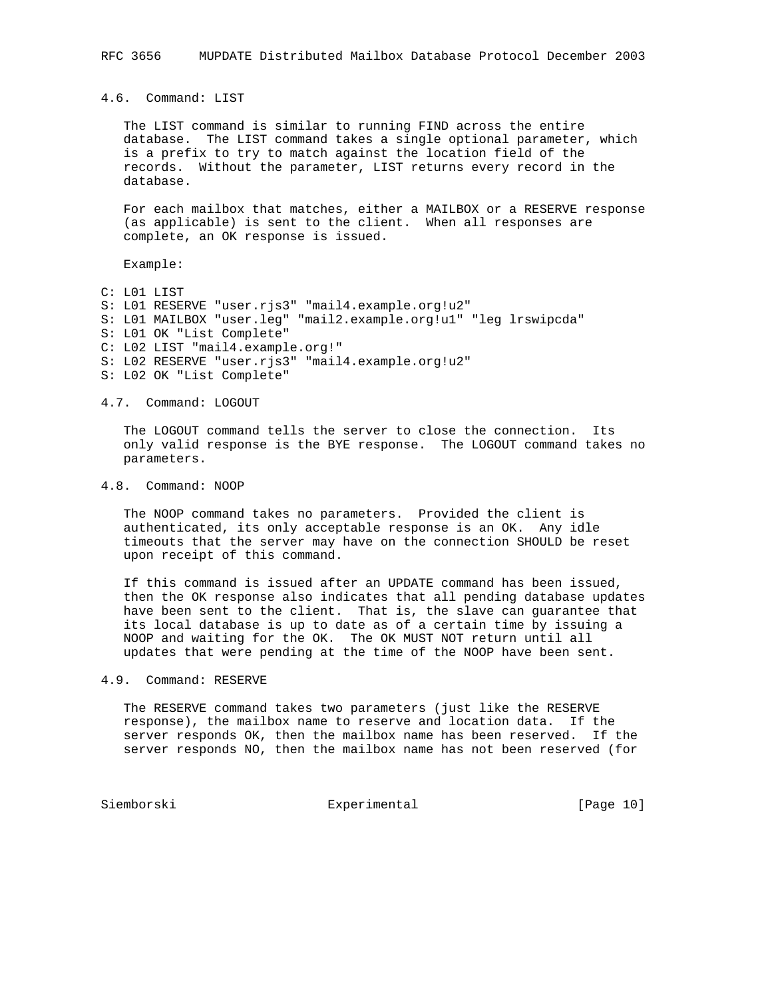4.6. Command: LIST

 The LIST command is similar to running FIND across the entire database. The LIST command takes a single optional parameter, which is a prefix to try to match against the location field of the records. Without the parameter, LIST returns every record in the database.

 For each mailbox that matches, either a MAILBOX or a RESERVE response (as applicable) is sent to the client. When all responses are complete, an OK response is issued.

Example:

C: L01 LIST S: L01 RESERVE "user.rjs3" "mail4.example.org!u2" S: L01 MAILBOX "user.leg" "mail2.example.org!u1" "leg lrswipcda" S: L01 OK "List Complete" C: L02 LIST "mail4.example.org!" S: L02 RESERVE "user.rjs3" "mail4.example.org!u2" S: L02 OK "List Complete"

#### 4.7. Command: LOGOUT

 The LOGOUT command tells the server to close the connection. Its only valid response is the BYE response. The LOGOUT command takes no parameters.

# 4.8. Command: NOOP

 The NOOP command takes no parameters. Provided the client is authenticated, its only acceptable response is an OK. Any idle timeouts that the server may have on the connection SHOULD be reset upon receipt of this command.

 If this command is issued after an UPDATE command has been issued, then the OK response also indicates that all pending database updates have been sent to the client. That is, the slave can guarantee that its local database is up to date as of a certain time by issuing a NOOP and waiting for the OK. The OK MUST NOT return until all updates that were pending at the time of the NOOP have been sent.

## 4.9. Command: RESERVE

 The RESERVE command takes two parameters (just like the RESERVE response), the mailbox name to reserve and location data. If the server responds OK, then the mailbox name has been reserved. If the server responds NO, then the mailbox name has not been reserved (for

Siemborski Experimental [Page 10]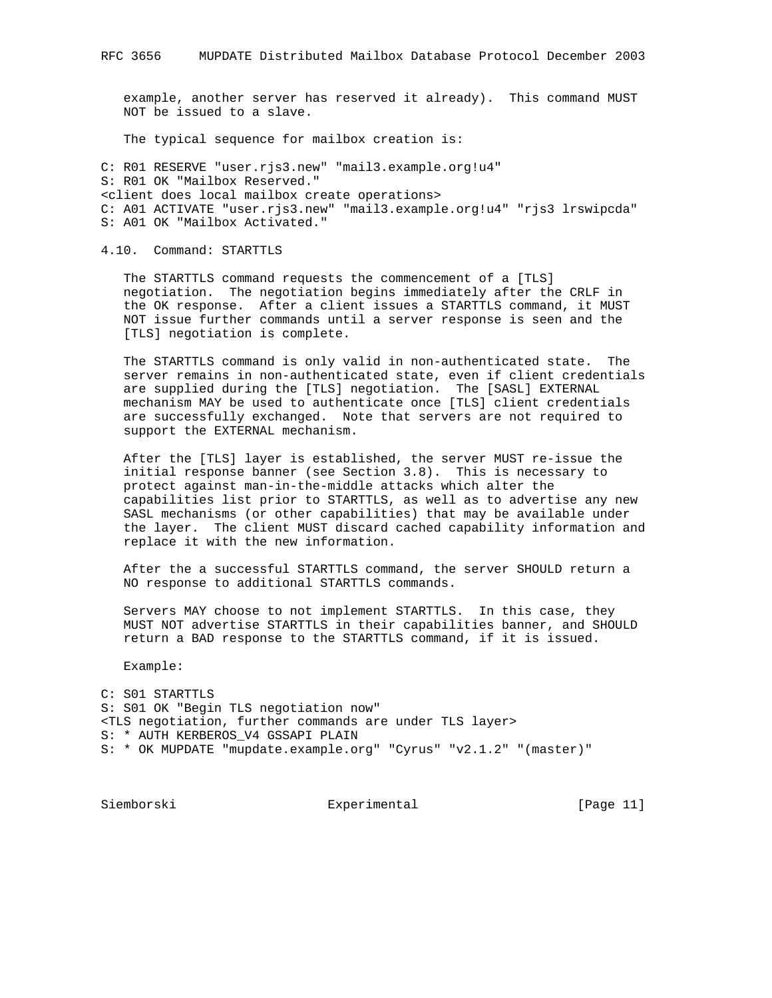example, another server has reserved it already). This command MUST NOT be issued to a slave.

The typical sequence for mailbox creation is:

```
C: R01 RESERVE "user.rjs3.new" "mail3.example.org!u4"
S: R01 OK "Mailbox Reserved."
<client does local mailbox create operations>
C: A01 ACTIVATE "user.rjs3.new" "mail3.example.org!u4" "rjs3 lrswipcda"
S: A01 OK "Mailbox Activated."
```
4.10. Command: STARTTLS

 The STARTTLS command requests the commencement of a [TLS] negotiation. The negotiation begins immediately after the CRLF in the OK response. After a client issues a STARTTLS command, it MUST NOT issue further commands until a server response is seen and the [TLS] negotiation is complete.

 The STARTTLS command is only valid in non-authenticated state. The server remains in non-authenticated state, even if client credentials are supplied during the [TLS] negotiation. The [SASL] EXTERNAL mechanism MAY be used to authenticate once [TLS] client credentials are successfully exchanged. Note that servers are not required to support the EXTERNAL mechanism.

 After the [TLS] layer is established, the server MUST re-issue the initial response banner (see Section 3.8). This is necessary to protect against man-in-the-middle attacks which alter the capabilities list prior to STARTTLS, as well as to advertise any new SASL mechanisms (or other capabilities) that may be available under the layer. The client MUST discard cached capability information and replace it with the new information.

 After the a successful STARTTLS command, the server SHOULD return a NO response to additional STARTTLS commands.

 Servers MAY choose to not implement STARTTLS. In this case, they MUST NOT advertise STARTTLS in their capabilities banner, and SHOULD return a BAD response to the STARTTLS command, if it is issued.

Example:

C: S01 STARTTLS S: S01 OK "Begin TLS negotiation now" <TLS negotiation, further commands are under TLS layer> S: \* AUTH KERBEROS\_V4 GSSAPI PLAIN S: \* OK MUPDATE "mupdate.example.org" "Cyrus" "v2.1.2" "(master)"

Siemborski Experimental [Page 11]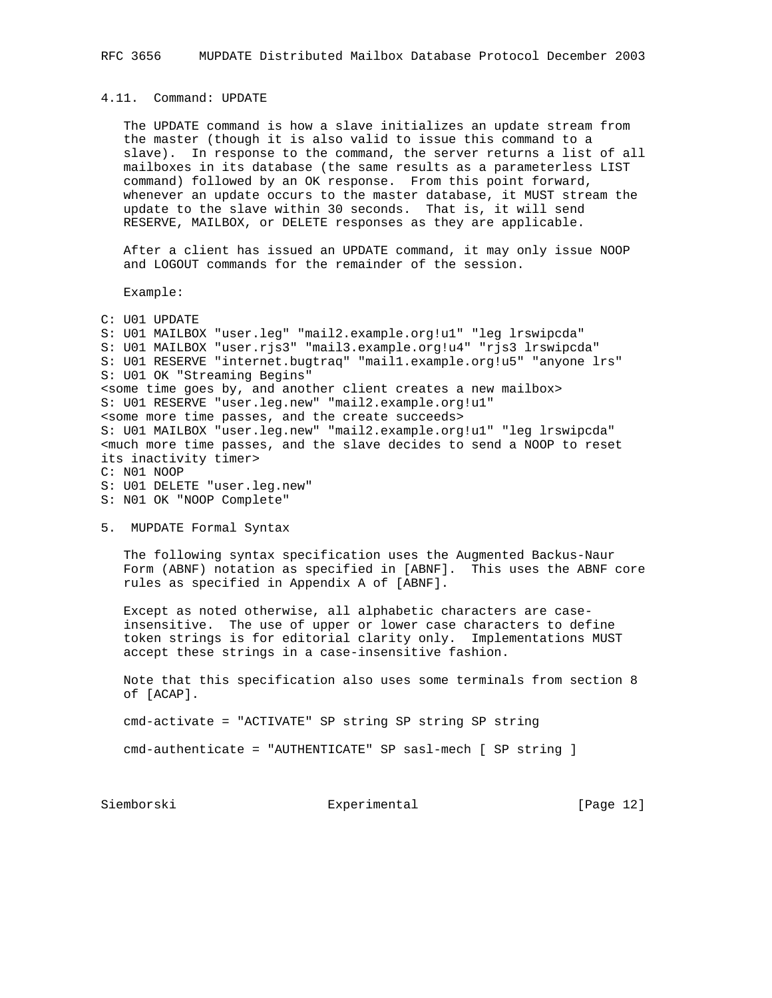## 4.11. Command: UPDATE

 The UPDATE command is how a slave initializes an update stream from the master (though it is also valid to issue this command to a slave). In response to the command, the server returns a list of all mailboxes in its database (the same results as a parameterless LIST command) followed by an OK response. From this point forward, whenever an update occurs to the master database, it MUST stream the update to the slave within 30 seconds. That is, it will send RESERVE, MAILBOX, or DELETE responses as they are applicable.

 After a client has issued an UPDATE command, it may only issue NOOP and LOGOUT commands for the remainder of the session.

Example:

C: U01 UPDATE S: U01 MAILBOX "user.leg" "mail2.example.org!u1" "leg lrswipcda" S: U01 MAILBOX "user.rjs3" "mail3.example.org!u4" "rjs3 lrswipcda" S: U01 RESERVE "internet.bugtraq" "mail1.example.org!u5" "anyone lrs" S: U01 OK "Streaming Begins" <some time goes by, and another client creates a new mailbox> S: U01 RESERVE "user.leg.new" "mail2.example.org!u1" <some more time passes, and the create succeeds> S: U01 MAILBOX "user.leg.new" "mail2.example.org!u1" "leg lrswipcda" <much more time passes, and the slave decides to send a NOOP to reset its inactivity timer> C: N01 NOOP S: U01 DELETE "user.leg.new"

- S: N01 OK "NOOP Complete"
- 5. MUPDATE Formal Syntax

 The following syntax specification uses the Augmented Backus-Naur Form (ABNF) notation as specified in [ABNF]. This uses the ABNF core rules as specified in Appendix A of [ABNF].

 Except as noted otherwise, all alphabetic characters are case insensitive. The use of upper or lower case characters to define token strings is for editorial clarity only. Implementations MUST accept these strings in a case-insensitive fashion.

 Note that this specification also uses some terminals from section 8 of [ACAP].

cmd-activate = "ACTIVATE" SP string SP string SP string

cmd-authenticate = "AUTHENTICATE" SP sasl-mech [ SP string ]

Siemborski Experimental [Page 12]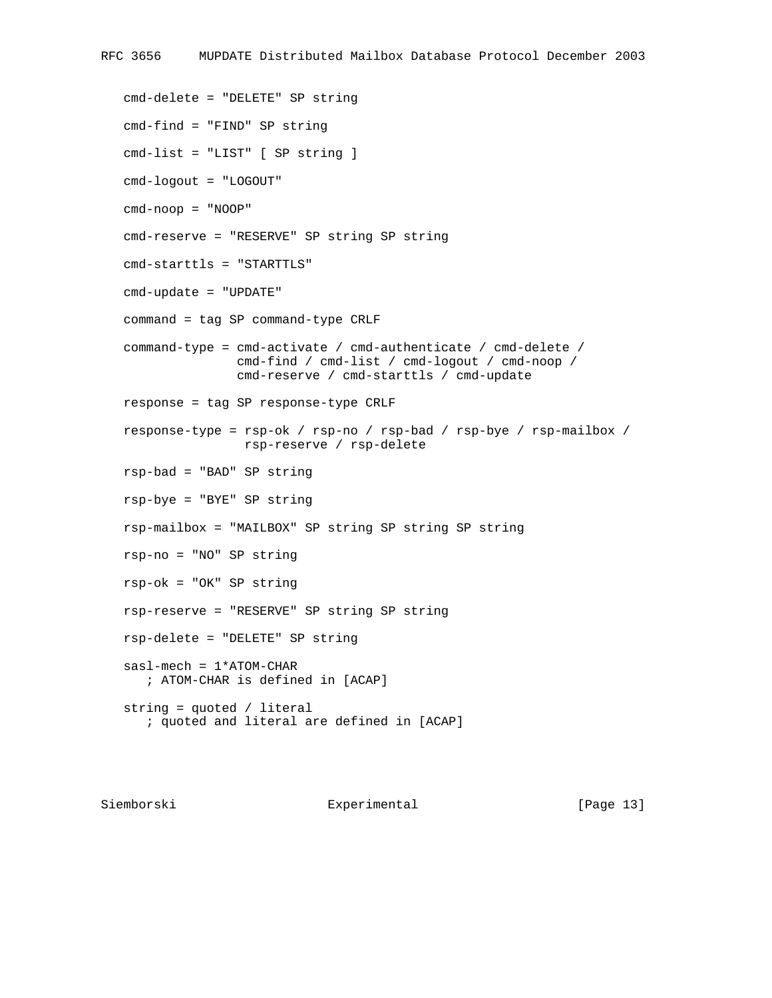cmd-delete = "DELETE" SP string cmd-find = "FIND" SP string cmd-list = "LIST" [ SP string ] cmd-logout = "LOGOUT" cmd-noop = "NOOP" cmd-reserve = "RESERVE" SP string SP string cmd-starttls = "STARTTLS" cmd-update = "UPDATE" command = tag SP command-type CRLF command-type = cmd-activate / cmd-authenticate / cmd-delete / cmd-find / cmd-list / cmd-logout / cmd-noop / cmd-reserve / cmd-starttls / cmd-update response = tag SP response-type CRLF response-type = rsp-ok / rsp-no / rsp-bad / rsp-bye / rsp-mailbox / rsp-reserve / rsp-delete rsp-bad = "BAD" SP string rsp-bye = "BYE" SP string rsp-mailbox = "MAILBOX" SP string SP string SP string rsp-no = "NO" SP string rsp-ok = "OK" SP string rsp-reserve = "RESERVE" SP string SP string rsp-delete = "DELETE" SP string sasl-mech = 1\*ATOM-CHAR ; ATOM-CHAR is defined in [ACAP] string = quoted / literal ; quoted and literal are defined in [ACAP]

Siemborski **Experimental** [Page 13]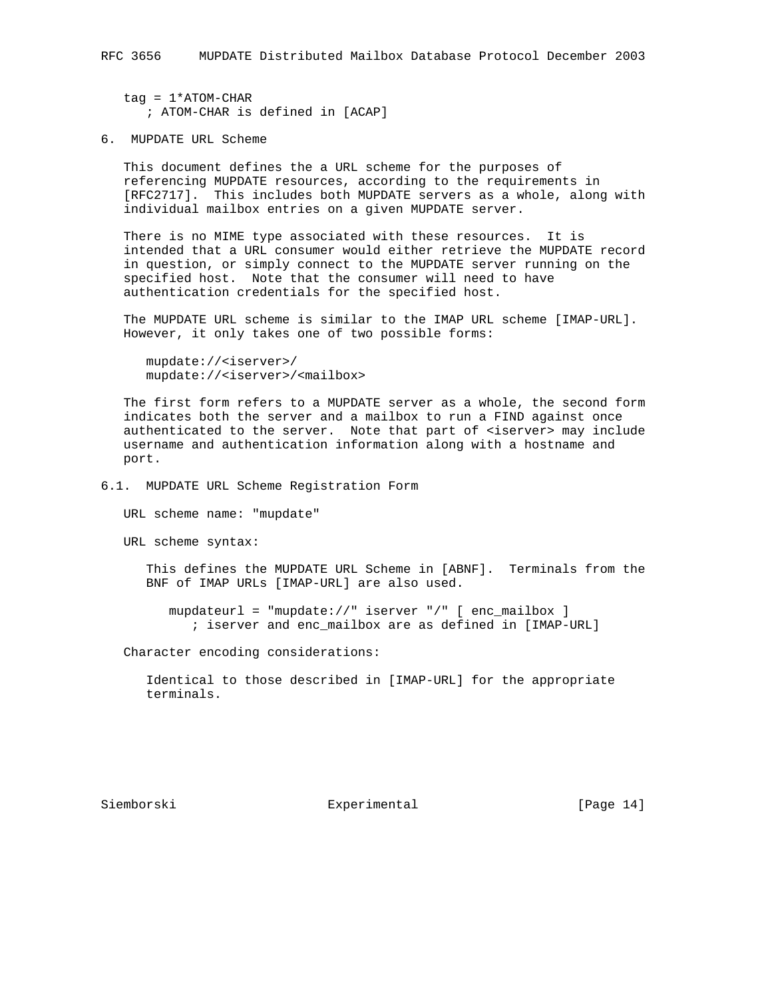$tag = 1*ATOM-CHAR$ ; ATOM-CHAR is defined in [ACAP]

6. MUPDATE URL Scheme

 This document defines the a URL scheme for the purposes of referencing MUPDATE resources, according to the requirements in [RFC2717]. This includes both MUPDATE servers as a whole, along with individual mailbox entries on a given MUPDATE server.

 There is no MIME type associated with these resources. It is intended that a URL consumer would either retrieve the MUPDATE record in question, or simply connect to the MUPDATE server running on the specified host. Note that the consumer will need to have authentication credentials for the specified host.

 The MUPDATE URL scheme is similar to the IMAP URL scheme [IMAP-URL]. However, it only takes one of two possible forms:

```
 mupdate://<iserver>/
 mupdate://<iserver>/<mailbox>
```
 The first form refers to a MUPDATE server as a whole, the second form indicates both the server and a mailbox to run a FIND against once authenticated to the server. Note that part of <iserver> may include username and authentication information along with a hostname and port.

6.1. MUPDATE URL Scheme Registration Form

URL scheme name: "mupdate"

URL scheme syntax:

 This defines the MUPDATE URL Scheme in [ABNF]. Terminals from the BNF of IMAP URLs [IMAP-URL] are also used.

 mupdateurl = "mupdate://" iserver "/" [ enc\_mailbox ] ; iserver and enc\_mailbox are as defined in [IMAP-URL]

Character encoding considerations:

 Identical to those described in [IMAP-URL] for the appropriate terminals.

Siemborski Experimental [Page 14]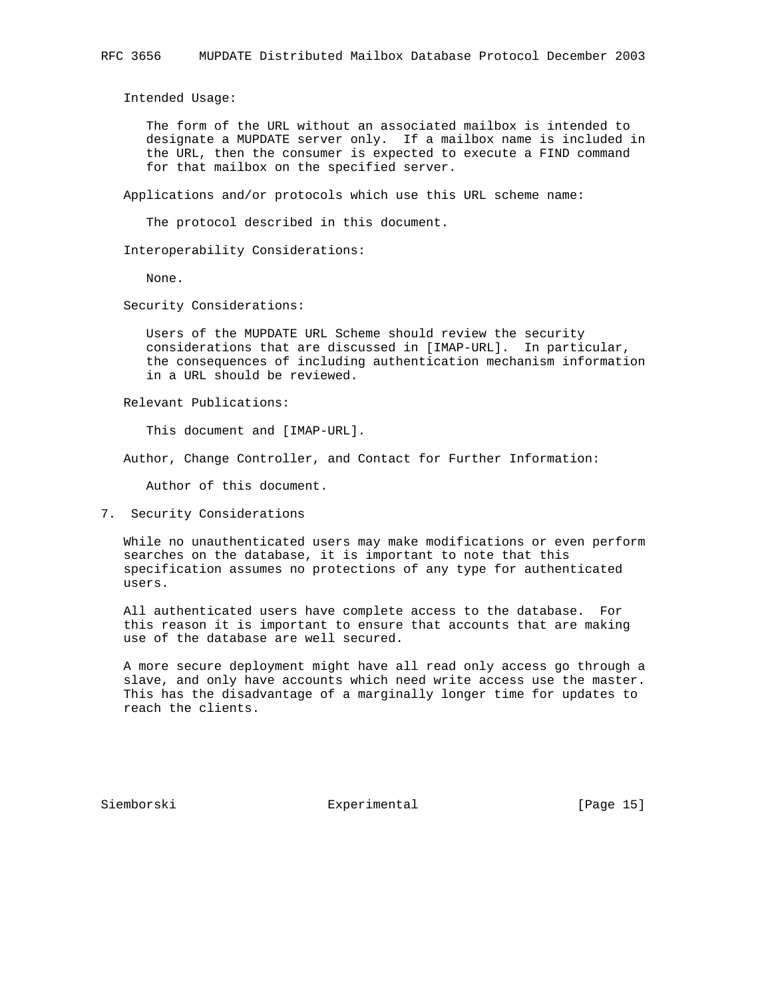Intended Usage:

 The form of the URL without an associated mailbox is intended to designate a MUPDATE server only. If a mailbox name is included in the URL, then the consumer is expected to execute a FIND command for that mailbox on the specified server.

Applications and/or protocols which use this URL scheme name:

The protocol described in this document.

Interoperability Considerations:

None.

Security Considerations:

 Users of the MUPDATE URL Scheme should review the security considerations that are discussed in [IMAP-URL]. In particular, the consequences of including authentication mechanism information in a URL should be reviewed.

Relevant Publications:

This document and [IMAP-URL].

Author, Change Controller, and Contact for Further Information:

Author of this document.

7. Security Considerations

 While no unauthenticated users may make modifications or even perform searches on the database, it is important to note that this specification assumes no protections of any type for authenticated users.

 All authenticated users have complete access to the database. For this reason it is important to ensure that accounts that are making use of the database are well secured.

 A more secure deployment might have all read only access go through a slave, and only have accounts which need write access use the master. This has the disadvantage of a marginally longer time for updates to reach the clients.

Siemborski **Experimental** [Page 15]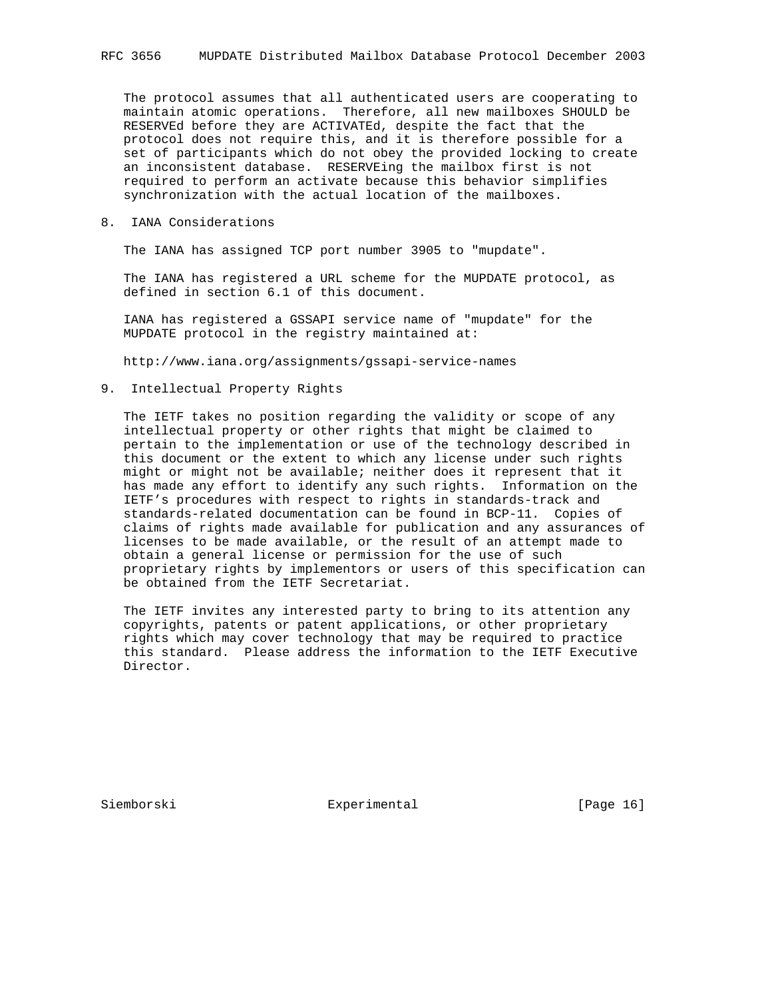The protocol assumes that all authenticated users are cooperating to maintain atomic operations. Therefore, all new mailboxes SHOULD be RESERVEd before they are ACTIVATEd, despite the fact that the protocol does not require this, and it is therefore possible for a set of participants which do not obey the provided locking to create an inconsistent database. RESERVEing the mailbox first is not required to perform an activate because this behavior simplifies synchronization with the actual location of the mailboxes.

# 8. IANA Considerations

The IANA has assigned TCP port number 3905 to "mupdate".

 The IANA has registered a URL scheme for the MUPDATE protocol, as defined in section 6.1 of this document.

 IANA has registered a GSSAPI service name of "mupdate" for the MUPDATE protocol in the registry maintained at:

http://www.iana.org/assignments/gssapi-service-names

# 9. Intellectual Property Rights

 The IETF takes no position regarding the validity or scope of any intellectual property or other rights that might be claimed to pertain to the implementation or use of the technology described in this document or the extent to which any license under such rights might or might not be available; neither does it represent that it has made any effort to identify any such rights. Information on the IETF's procedures with respect to rights in standards-track and standards-related documentation can be found in BCP-11. Copies of claims of rights made available for publication and any assurances of licenses to be made available, or the result of an attempt made to obtain a general license or permission for the use of such proprietary rights by implementors or users of this specification can be obtained from the IETF Secretariat.

 The IETF invites any interested party to bring to its attention any copyrights, patents or patent applications, or other proprietary rights which may cover technology that may be required to practice this standard. Please address the information to the IETF Executive Director.

Siemborski **Experimental** [Page 16]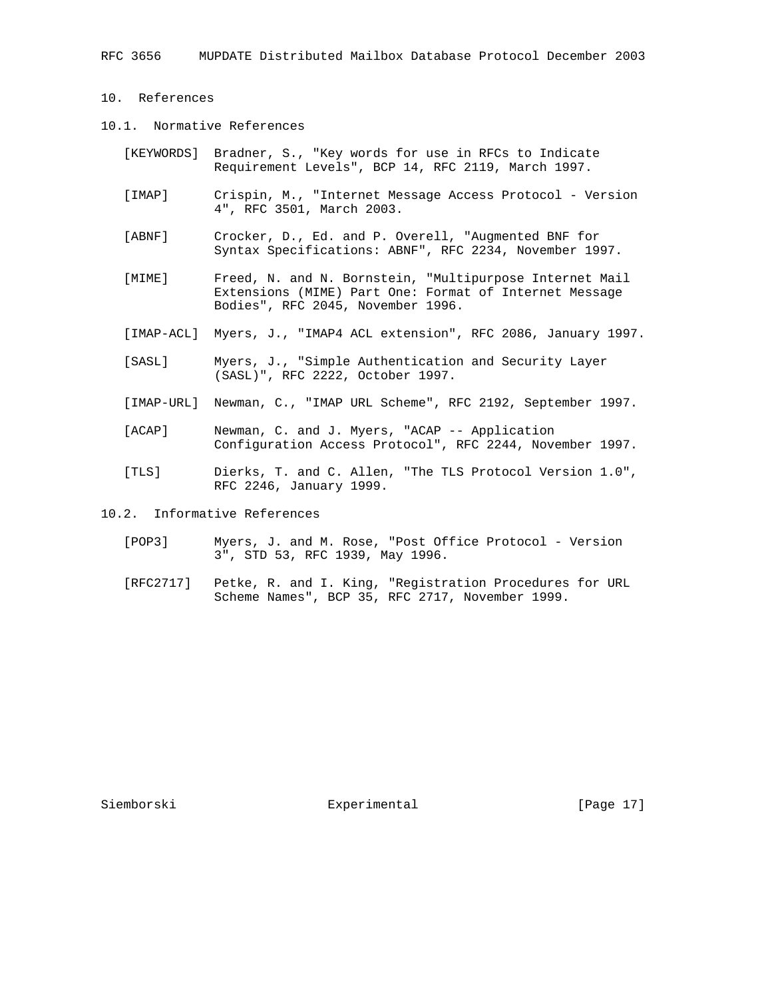- 10. References
- 10.1. Normative References
	- [KEYWORDS] Bradner, S., "Key words for use in RFCs to Indicate Requirement Levels", BCP 14, RFC 2119, March 1997.
	- [IMAP] Crispin, M., "Internet Message Access Protocol Version 4", RFC 3501, March 2003.
	- [ABNF] Crocker, D., Ed. and P. Overell, "Augmented BNF for Syntax Specifications: ABNF", RFC 2234, November 1997.
	- [MIME] Freed, N. and N. Bornstein, "Multipurpose Internet Mail Extensions (MIME) Part One: Format of Internet Message Bodies", RFC 2045, November 1996.
	- [IMAP-ACL] Myers, J., "IMAP4 ACL extension", RFC 2086, January 1997.
	- [SASL] Myers, J., "Simple Authentication and Security Layer (SASL)", RFC 2222, October 1997.
	- [IMAP-URL] Newman, C., "IMAP URL Scheme", RFC 2192, September 1997.
	- [ACAP] Newman, C. and J. Myers, "ACAP -- Application Configuration Access Protocol", RFC 2244, November 1997.
	- [TLS] Dierks, T. and C. Allen, "The TLS Protocol Version 1.0", RFC 2246, January 1999.

10.2. Informative References

- [POP3] Myers, J. and M. Rose, "Post Office Protocol Version 3", STD 53, RFC 1939, May 1996.
- [RFC2717] Petke, R. and I. King, "Registration Procedures for URL Scheme Names", BCP 35, RFC 2717, November 1999.

Siemborski **Experimental** [Page 17]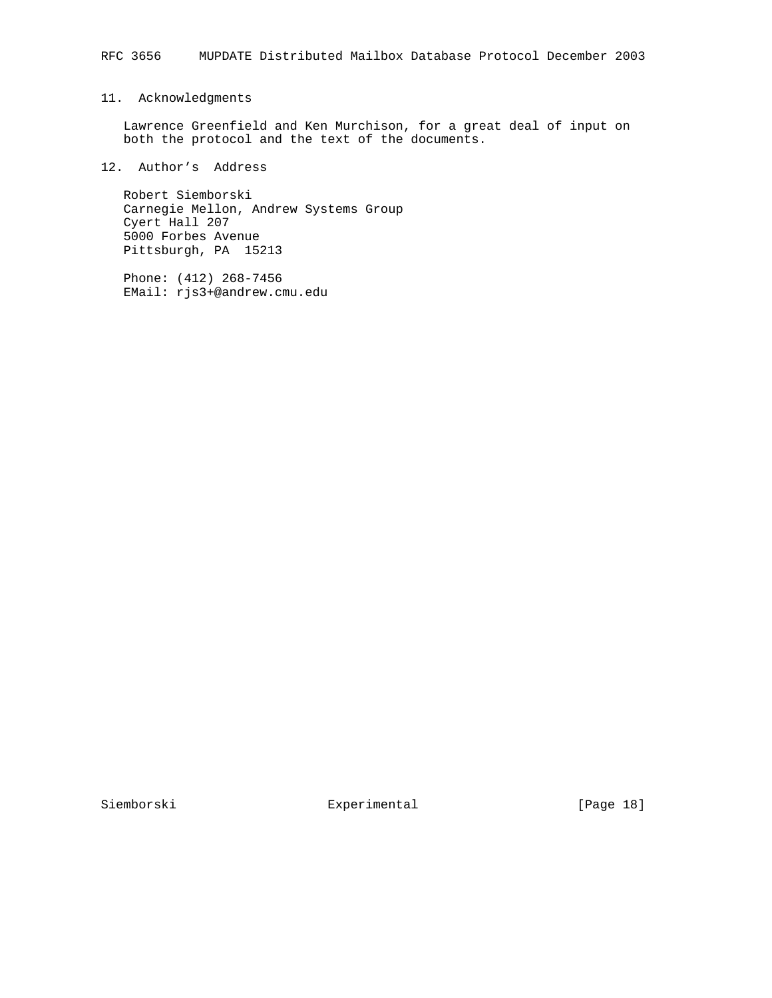# 11. Acknowledgments

 Lawrence Greenfield and Ken Murchison, for a great deal of input on both the protocol and the text of the documents.

# 12. Author's Address

 Robert Siemborski Carnegie Mellon, Andrew Systems Group Cyert Hall 207 5000 Forbes Avenue Pittsburgh, PA 15213

 Phone: (412) 268-7456 EMail: rjs3+@andrew.cmu.edu

Siemborski Experimental [Page 18]